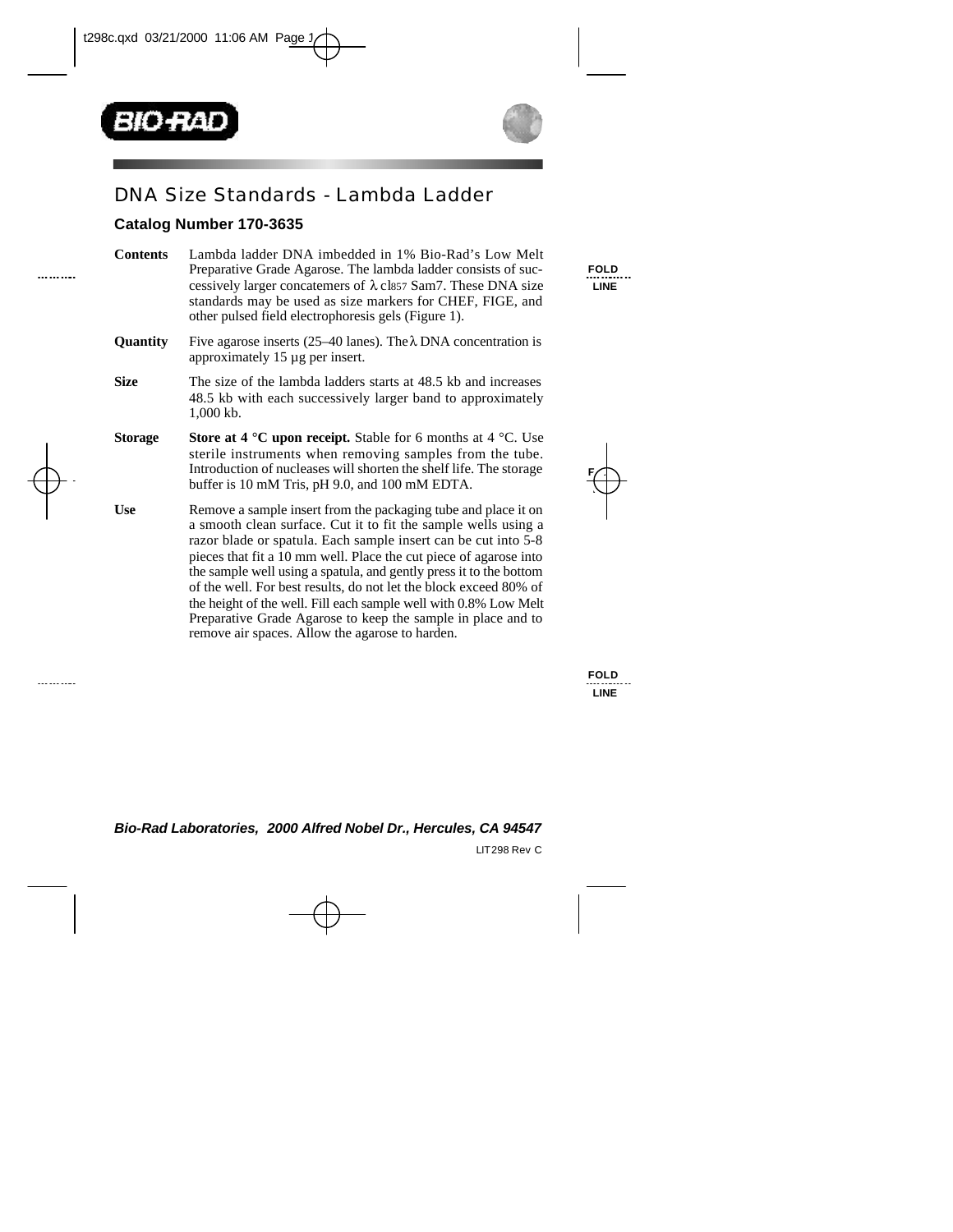



## DNA Size Standards - Lambda Ladder

## **Catalog Number 170-3635**

| <b>Contents</b> | Lambda ladder DNA imbedded in 1% Bio-Rad's Low Melt<br>Preparative Grade Agarose. The lambda ladder consists of suc-<br>cessively larger concatemers of $\lambda$ cls57 Sam7. These DNA size<br>standards may be used as size markers for CHEF, FIGE, and<br>other pulsed field electrophoresis gels (Figure 1).                                                                                                                                                                                                                                                                                          |  |  |  |  |
|-----------------|-----------------------------------------------------------------------------------------------------------------------------------------------------------------------------------------------------------------------------------------------------------------------------------------------------------------------------------------------------------------------------------------------------------------------------------------------------------------------------------------------------------------------------------------------------------------------------------------------------------|--|--|--|--|
| <b>Quantity</b> | Five agarose inserts (25–40 lanes). The $\lambda$ DNA concentration is<br>approximately 15 µg per insert.                                                                                                                                                                                                                                                                                                                                                                                                                                                                                                 |  |  |  |  |
| <b>Size</b>     | The size of the lambda ladders starts at 48.5 kb and increases<br>48.5 kb with each successively larger band to approximately<br>$1,000$ kb.                                                                                                                                                                                                                                                                                                                                                                                                                                                              |  |  |  |  |
| <b>Storage</b>  | <b>Store at 4 °C upon receipt.</b> Stable for 6 months at 4 °C. Use<br>sterile instruments when removing samples from the tube.<br>Introduction of nucleases will shorten the shelf life. The storage<br>buffer is 10 mM Tris, pH 9.0, and 100 mM EDTA.                                                                                                                                                                                                                                                                                                                                                   |  |  |  |  |
| <b>Use</b>      | Remove a sample insert from the packaging tube and place it on<br>a smooth clean surface. Cut it to fit the sample wells using a<br>razor blade or spatula. Each sample insert can be cut into 5-8<br>pieces that fit a 10 mm well. Place the cut piece of agarose into<br>the sample well using a spatula, and gently press it to the bottom<br>of the well. For best results, do not let the block exceed 80% of<br>the height of the well. Fill each sample well with 0.8% Low Melt<br>Preparative Grade Agarose to keep the sample in place and to<br>remove air spaces. Allow the agarose to harden. |  |  |  |  |